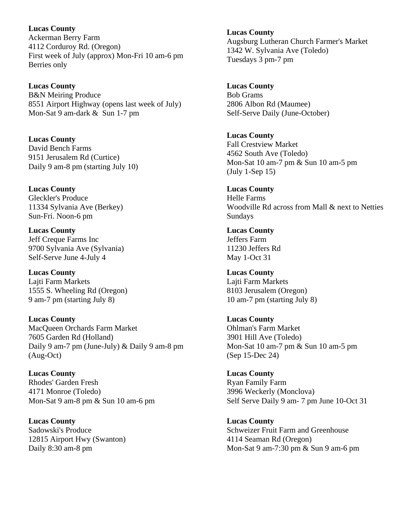**Lucas County**  Ackerman Berry Farm 4112 Corduroy Rd. (Oregon) First week of July (approx) Mon-Fri 10 am-6 pm Berries only

**Lucas County**  B&N Meiring Produce 8551 Airport Highway (opens last week of July) Mon-Sat 9 am-dark & Sun 1-7 pm

**Lucas County**  David Bench Farms 9151 Jerusalem Rd (Curtice) Daily 9 am-8 pm (starting July 10)

**Lucas County**  Gleckler's Produce 11334 Sylvania Ave (Berkey) Sun-Fri. Noon-6 pm

**Lucas County**  Jeff Creque Farms Inc 9700 Sylvania Ave (Sylvania) Self-Serve June 4-July 4

**Lucas County**  Lajti Farm Markets 1555 S. Wheeling Rd (Oregon) 9 am-7 pm (starting July 8)

**Lucas County**  MacQueen Orchards Farm Market 7605 Garden Rd (Holland) Daily 9 am-7 pm (June-July) & Daily 9 am-8 pm (Aug-Oct)

**Lucas County**  Rhodes' Garden Fresh 4171 Monroe (Toledo) Mon-Sat 9 am-8 pm & Sun 10 am-6 pm

**Lucas County**  Sadowski's Produce 12815 Airport Hwy (Swanton) Daily 8:30 am-8 pm

**Lucas County**  Augsburg Lutheran Church Farmer's Market 1342 W. Sylvania Ave (Toledo) Tuesdays 3 pm-7 pm

**Lucas County**  Bob Grams 2806 Albon Rd (Maumee) Self-Serve Daily (June-October)

**Lucas County**  Fall Crestview Market 4562 South Ave (Toledo) Mon-Sat 10 am-7 pm & Sun 10 am-5 pm (July 1-Sep 15)

**Lucas County**  Helle Farms Woodville Rd across from Mall & next to Netties Sundays

**Lucas County**  Jeffers Farm 11230 Jeffers Rd May 1-Oct 31

**Lucas County**  Lajti Farm Markets 8103 Jerusalem (Oregon) 10 am-7 pm (starting July 8)

**Lucas County**  Ohlman's Farm Market 3901 Hill Ave (Toledo) Mon-Sat 10 am-7 pm & Sun 10 am-5 pm (Sep 15-Dec 24)

**Lucas County**  Ryan Family Farm 3996 Weckerly (Monclova) Self Serve Daily 9 am- 7 pm June 10-Oct 31

**Lucas County**  Schweizer Fruit Farm and Greenhouse 4114 Seaman Rd (Oregon) Mon-Sat 9 am-7:30 pm & Sun 9 am-6 pm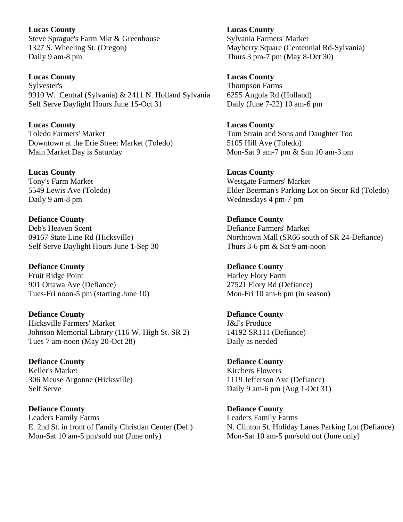**Lucas County**  Steve Sprague's Farm Mkt & Greenhouse 1327 S. Wheeling St. (Oregon) Daily 9 am-8 pm

**Lucas County**  Sylvester's 9910 W. Central (Sylvania) & 2411 N. Holland Sylvania Self Serve Daylight Hours June 15-Oct 31

**Lucas County**  Toledo Farmers' Market Downtown at the Erie Street Market (Toledo) Main Market Day is Saturday

**Lucas County**  Tony's Farm Market 5549 Lewis Ave (Toledo) Daily 9 am-8 pm

**Defiance County**  Deb's Heaven Scent 09167 State Line Rd (Hicksville) Self Serve Daylight Hours June 1-Sep 30

**Defiance County**  Fruit Ridge Point 901 Ottawa Ave (Defiance) Tues-Fri noon-5 pm (starting June 10)

**Defiance County**  Hicksville Farmers' Market Johnson Memorial Library (116 W. High St. SR 2) Tues 7 am-noon (May 20-Oct 28)

**Defiance County**  Keller's Market 306 Meuse Argonne (Hicksville) Self Serve

**Defiance County**  Leaders Family Farms E. 2nd St. in front of Family Christian Center (Def.) Mon-Sat 10 am-5 pm/sold out (June only)

**Lucas County**  Sylvania Farmers' Market Mayberry Square (Centennial Rd-Sylvania) Thurs 3 pm-7 pm (May 8-Oct 30)

**Lucas County**  Thompson Farms 6255 Angola Rd (Holland) Daily (June 7-22) 10 am-6 pm

**Lucas County**  Tom Strain and Sons and Daughter Too 5105 Hill Ave (Toledo) Mon-Sat 9 am-7 pm & Sun 10 am-3 pm

**Lucas County**  Westgate Farmers' Market Elder Beerman's Parking Lot on Secor Rd (Toledo) Wednesdays 4 pm-7 pm

**Defiance County**  Defiance Farmers' Market Northtown Mall (SR66 south of SR 24-Defiance) Thurs 3-6 pm & Sat 9 am-noon

**Defiance County**  Harley Flory Farm 27521 Flory Rd (Defiance) Mon-Fri 10 am-6 pm (in season)

**Defiance County**  J&J's Produce 14192 SR111 (Defiance) Daily as needed

**Defiance County**  Kirchers Flowers 1119 Jefferson Ave (Defiance) Daily 9 am-6 pm (Aug 1-Oct 31)

**Defiance County**  Leaders Family Farms N. Clinton St. Holiday Lanes Parking Lot (Defiance) Mon-Sat 10 am-5 pm/sold out (June only)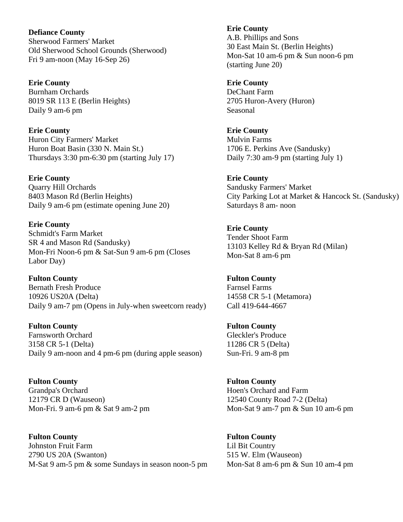**Defiance County**  Sherwood Farmers' Market Old Sherwood School Grounds (Sherwood) Fri 9 am-noon (May 16-Sep 26)

**Erie County**  Burnham Orchards 8019 SR 113 E (Berlin Heights) Daily 9 am-6 pm

**Erie County**  Huron City Farmers' Market Huron Boat Basin (330 N. Main St.) Thursdays 3:30 pm-6:30 pm (starting July 17)

**Erie County**  Quarry Hill Orchards 8403 Mason Rd (Berlin Heights) Daily 9 am-6 pm (estimate opening June 20)

**Erie County**  Schmidt's Farm Market SR 4 and Mason Rd (Sandusky) Mon-Fri Noon-6 pm & Sat-Sun 9 am-6 pm (Closes Labor Day)

**Fulton County**  Bernath Fresh Produce 10926 US20A (Delta) Daily 9 am-7 pm (Opens in July-when sweetcorn ready)

**Fulton County**  Farnsworth Orchard 3158 CR 5-1 (Delta) Daily 9 am-noon and 4 pm-6 pm (during apple season)

**Fulton County**  Grandpa's Orchard 12179 CR D (Wauseon) Mon-Fri. 9 am-6 pm & Sat 9 am-2 pm

**Fulton County**  Johnston Fruit Farm 2790 US 20A (Swanton) M-Sat 9 am-5 pm & some Sundays in season noon-5 pm **Erie County**  A.B. Phillips and Sons 30 East Main St. (Berlin Heights) Mon-Sat 10 am-6 pm & Sun noon-6 pm (starting June 20)

**Erie County**  DeChant Farm 2705 Huron-Avery (Huron) Seasonal

**Erie County**  Mulvin Farms 1706 E. Perkins Ave (Sandusky) Daily 7:30 am-9 pm (starting July 1)

**Erie County**  Sandusky Farmers' Market City Parking Lot at Market & Hancock St. (Sandusky) Saturdays 8 am- noon

**Erie County**  Tender Shoot Farm 13103 Kelley Rd & Bryan Rd (Milan) Mon-Sat 8 am-6 pm

**Fulton County**  Farnsel Farms 14558 CR 5-1 (Metamora) Call 419-644-4667

**Fulton County**  Gleckler's Produce 11286 CR 5 (Delta) Sun-Fri. 9 am-8 pm

**Fulton County**  Hoen's Orchard and Farm 12540 County Road 7-2 (Delta) Mon-Sat 9 am-7 pm & Sun 10 am-6 pm

**Fulton County**  Lil Bit Country 515 W. Elm (Wauseon) Mon-Sat 8 am-6 pm & Sun 10 am-4 pm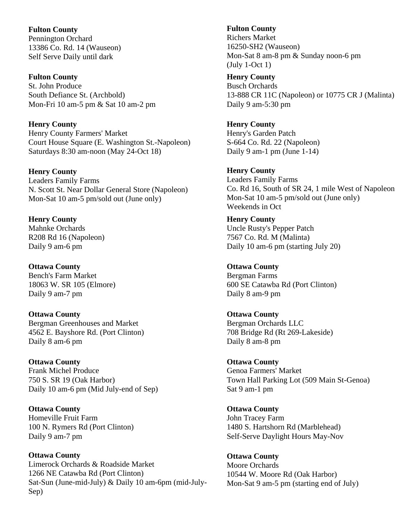**Fulton County**  Pennington Orchard 13386 Co. Rd. 14 (Wauseon) Self Serve Daily until dark

**Fulton County**  St. John Produce South Defiance St. (Archbold) Mon-Fri 10 am-5 pm & Sat 10 am-2 pm

**Henry County**  Henry County Farmers' Market Court House Square (E. Washington St.-Napoleon) Saturdays 8:30 am-noon (May 24-Oct 18)

**Henry County**  Leaders Family Farms N. Scott St. Near Dollar General Store (Napoleon) Mon-Sat 10 am-5 pm/sold out (June only)

**Henry County**  Mahnke Orchards R208 Rd 16 (Napoleon) Daily 9 am-6 pm

**Ottawa County**  Bench's Farm Market 18063 W. SR 105 (Elmore) Daily 9 am-7 pm

**Ottawa County**  Bergman Greenhouses and Market 4562 E. Bayshore Rd. (Port Clinton) Daily 8 am-6 pm

**Ottawa County**  Frank Michel Produce 750 S. SR 19 (Oak Harbor) Daily 10 am-6 pm (Mid July-end of Sep)

**Ottawa County**  Homeville Fruit Farm 100 N. Rymers Rd (Port Clinton) Daily 9 am-7 pm

**Ottawa County**  Limerock Orchards & Roadside Market 1266 NE Catawba Rd (Port Clinton) Sat-Sun (June-mid-July) & Daily 10 am-6pm (mid-July-Sep)

**Fulton County** 

Richers Market 16250-SH2 (Wauseon) Mon-Sat 8 am-8 pm & Sunday noon-6 pm (July 1-Oct 1)

**Henry County**  Busch Orchards 13-888 CR 11C (Napoleon) or 10775 CR J (Malinta) Daily 9 am-5:30 pm

**Henry County**  Henry's Garden Patch S-664 Co. Rd. 22 (Napoleon) Daily 9 am-1 pm (June  $1-14$ )

**Henry County**  Leaders Family Farms Co. Rd 16, South of SR 24, 1 mile West of Napoleon Mon-Sat 10 am-5 pm/sold out (June only) Weekends in Oct

**Henry County**  Uncle Rusty's Pepper Patch 7567 Co. Rd. M (Malinta) Daily 10 am-6 pm (starting July 20)

**Ottawa County**  Bergman Farms 600 SE Catawba Rd (Port Clinton) Daily 8 am-9 pm

**Ottawa County**  Bergman Orchards LLC 708 Bridge Rd (Rt 269-Lakeside) Daily 8 am-8 pm

**Ottawa County**  Genoa Farmers' Market Town Hall Parking Lot (509 Main St-Genoa) Sat 9 am-1 pm

**Ottawa County**  John Tracey Farm 1480 S. Hartshorn Rd (Marblehead) Self-Serve Daylight Hours May-Nov

**Ottawa County**  Moore Orchards 10544 W. Moore Rd (Oak Harbor) Mon-Sat 9 am-5 pm (starting end of July)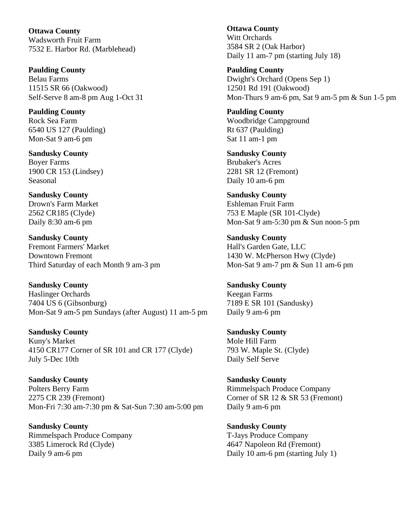**Ottawa County**  Wadsworth Fruit Farm 7532 E. Harbor Rd. (Marblehead)

**Paulding County**  Belau Farms 11515 SR 66 (Oakwood) Self-Serve 8 am-8 pm Aug 1-Oct 31

**Paulding County**  Rock Sea Farm 6540 US 127 (Paulding) Mon-Sat 9 am-6 pm

**Sandusky County**  Boyer Farms 1900 CR 153 (Lindsey) Seasonal

**Sandusky County**  Drown's Farm Market 2562 CR185 (Clyde) Daily 8:30 am-6 pm

**Sandusky County**  Fremont Farmers' Market Downtown Fremont Third Saturday of each Month 9 am-3 pm

**Sandusky County**  Haslinger Orchards 7404 US 6 (Gibsonburg) Mon-Sat 9 am-5 pm Sundays (after August) 11 am-5 pm

**Sandusky County**  Kuny's Market 4150 CR177 Corner of SR 101 and CR 177 (Clyde) July 5-Dec 10th

**Sandusky County**  Polters Berry Farm 2275 CR 239 (Fremont) Mon-Fri 7:30 am-7:30 pm & Sat-Sun 7:30 am-5:00 pm

**Sandusky County**  Rimmelspach Produce Company 3385 Limerock Rd (Clyde) Daily 9 am-6 pm

**Ottawa County**  Witt Orchards 3584 SR 2 (Oak Harbor) Daily 11 am-7 pm (starting July 18)

**Paulding County**  Dwight's Orchard (Opens Sep 1) 12501 Rd 191 (Oakwood) Mon-Thurs 9 am-6 pm, Sat 9 am-5 pm & Sun 1-5 pm

**Paulding County**  Woodbridge Campground Rt 637 (Paulding) Sat 11 am-1 pm

**Sandusky County**  Brubaker's Acres 2281 SR 12 (Fremont) Daily 10 am-6 pm

**Sandusky County**  Eshleman Fruit Farm 753 E Maple (SR 101-Clyde) Mon-Sat 9 am-5:30 pm & Sun noon-5 pm

**Sandusky County**  Hall's Garden Gate, LLC 1430 W. McPherson Hwy (Clyde) Mon-Sat 9 am-7 pm & Sun 11 am-6 pm

**Sandusky County**  Keegan Farms 7189 E SR 101 (Sandusky) Daily 9 am-6 pm

**Sandusky County**  Mole Hill Farm 793 W. Maple St. (Clyde) Daily Self Serve

**Sandusky County**  Rimmelspach Produce Company Corner of SR 12 & SR 53 (Fremont) Daily 9 am-6 pm

**Sandusky County**  T-Jays Produce Company 4647 Napoleon Rd (Fremont) Daily 10 am-6 pm (starting July 1)